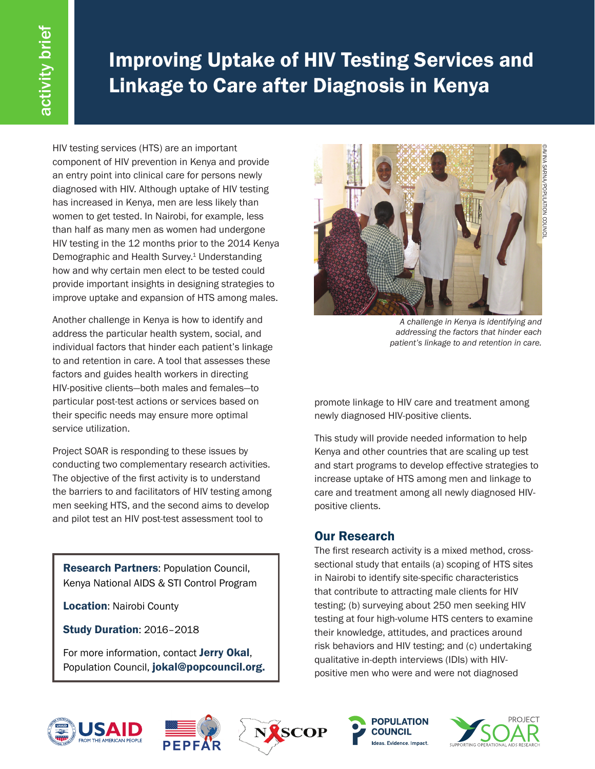# Improving Uptake of HIV Testing Services and Linkage to Care after Diagnosis in Kenya

HIV testing services (HTS) are an important component of HIV prevention in Kenya and provide an entry point into clinical care for persons newly diagnosed with HIV. Although uptake of HIV testing has increased in Kenya, men are less likely than women to get tested. In Nairobi, for example, less than half as many men as women had undergone HIV testing in the 12 months prior to the 2014 Kenya Demographic and Health Survey.<sup>1</sup> Understanding how and why certain men elect to be tested could provide important insights in designing strategies to improve uptake and expansion of HTS among males.

Another challenge in Kenya is how to identify and address the particular health system, social, and individual factors that hinder each patient's linkage to and retention in care. A tool that assesses these factors and guides health workers in directing HIV-positive clients—both males and females—to particular post-test actions or services based on their specific needs may ensure more optimal service utilization.

Project SOAR is responding to these issues by conducting two complementary research activities. The objective of the first activity is to understand the barriers to and facilitators of HIV testing among men seeking HTS, and the second aims to develop and pilot test an HIV post-test assessment tool to

**Research Partners: Population Council,** Kenya National AIDS & STI Control Program

Location: Nairobi County

Study Duration: 2016–2018

For more information, contact Jerry Okal, Population Council, jokal@popcouncil.org.



*A challenge in Kenya is identifying and addressing the factors that hinder each patient's linkage to and retention in care.*

promote linkage to HIV care and treatment among newly diagnosed HIV-positive clients.

This study will provide needed information to help Kenya and other countries that are scaling up test and start programs to develop effective strategies to increase uptake of HTS among men and linkage to care and treatment among all newly diagnosed HIVpositive clients.

## Our Research

The first research activity is a mixed method, crosssectional study that entails (a) scoping of HTS sites in Nairobi to identify site-specific characteristics that contribute to attracting male clients for HIV testing; (b) surveying about 250 men seeking HIV testing at four high-volume HTS centers to examine their knowledge, attitudes, and practices around risk behaviors and HIV testing; and (c) undertaking qualitative in-depth interviews (IDIs) with HIVpositive men who were and were not diagnosed